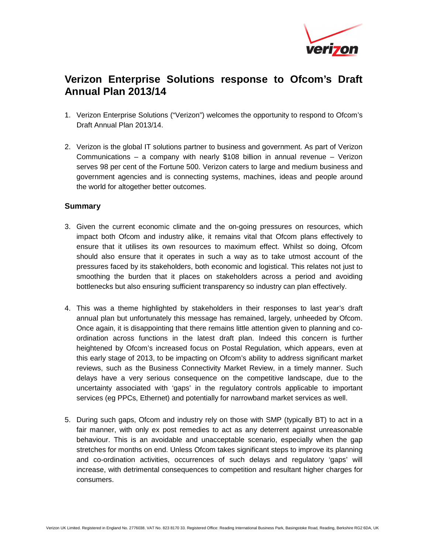

## **Verizon Enterprise Solutions response to Ofcom's Draft Annual Plan 2013/14**

- 1. Verizon Enterprise Solutions ("Verizon") welcomes the opportunity to respond to Ofcom's Draft Annual Plan 2013/14.
- 2. Verizon is the global IT solutions partner to business and government. As part of Verizon Communications – a company with nearly \$108 billion in annual revenue – Verizon serves 98 per cent of the Fortune 500. Verizon caters to large and medium business and government agencies and is connecting systems, machines, ideas and people around the world for altogether better outcomes.

## **Summary**

- 3. Given the current economic climate and the on-going pressures on resources, which impact both Ofcom and industry alike, it remains vital that Ofcom plans effectively to ensure that it utilises its own resources to maximum effect. Whilst so doing, Ofcom should also ensure that it operates in such a way as to take utmost account of the pressures faced by its stakeholders, both economic and logistical. This relates not just to smoothing the burden that it places on stakeholders across a period and avoiding bottlenecks but also ensuring sufficient transparency so industry can plan effectively.
- 4. This was a theme highlighted by stakeholders in their responses to last year's draft annual plan but unfortunately this message has remained, largely, unheeded by Ofcom. Once again, it is disappointing that there remains little attention given to planning and coordination across functions in the latest draft plan. Indeed this concern is further heightened by Ofcom's increased focus on Postal Regulation, which appears, even at this early stage of 2013, to be impacting on Ofcom's ability to address significant market reviews, such as the Business Connectivity Market Review, in a timely manner. Such delays have a very serious consequence on the competitive landscape, due to the uncertainty associated with 'gaps' in the regulatory controls applicable to important services (eg PPCs, Ethernet) and potentially for narrowband market services as well.
- 5. During such gaps, Ofcom and industry rely on those with SMP (typically BT) to act in a fair manner, with only ex post remedies to act as any deterrent against unreasonable behaviour. This is an avoidable and unacceptable scenario, especially when the gap stretches for months on end. Unless Ofcom takes significant steps to improve its planning and co-ordination activities, occurrences of such delays and regulatory 'gaps' will increase, with detrimental consequences to competition and resultant higher charges for consumers.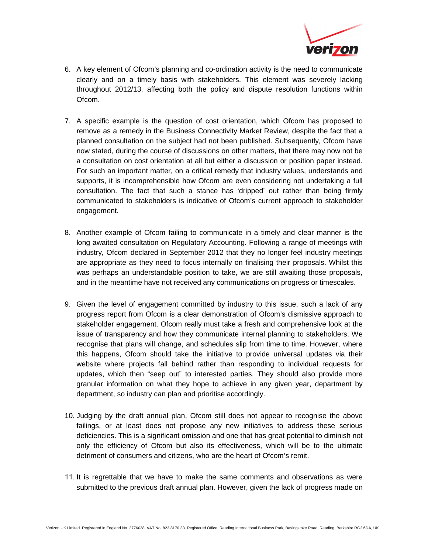

- 6. A key element of Ofcom's planning and co-ordination activity is the need to communicate clearly and on a timely basis with stakeholders. This element was severely lacking throughout 2012/13, affecting both the policy and dispute resolution functions within Ofcom.
- 7. A specific example is the question of cost orientation, which Ofcom has proposed to remove as a remedy in the Business Connectivity Market Review, despite the fact that a planned consultation on the subject had not been published. Subsequently, Ofcom have now stated, during the course of discussions on other matters, that there may now not be a consultation on cost orientation at all but either a discussion or position paper instead. For such an important matter, on a critical remedy that industry values, understands and supports, it is incomprehensible how Ofcom are even considering not undertaking a full consultation. The fact that such a stance has 'dripped' out rather than being firmly communicated to stakeholders is indicative of Ofcom's current approach to stakeholder engagement.
- 8. Another example of Ofcom failing to communicate in a timely and clear manner is the long awaited consultation on Regulatory Accounting. Following a range of meetings with industry, Ofcom declared in September 2012 that they no longer feel industry meetings are appropriate as they need to focus internally on finalising their proposals. Whilst this was perhaps an understandable position to take, we are still awaiting those proposals, and in the meantime have not received any communications on progress or timescales.
- 9. Given the level of engagement committed by industry to this issue, such a lack of any progress report from Ofcom is a clear demonstration of Ofcom's dismissive approach to stakeholder engagement. Ofcom really must take a fresh and comprehensive look at the issue of transparency and how they communicate internal planning to stakeholders. We recognise that plans will change, and schedules slip from time to time. However, where this happens, Ofcom should take the initiative to provide universal updates via their website where projects fall behind rather than responding to individual requests for updates, which then "seep out" to interested parties. They should also provide more granular information on what they hope to achieve in any given year, department by department, so industry can plan and prioritise accordingly.
- 10. Judging by the draft annual plan, Ofcom still does not appear to recognise the above failings, or at least does not propose any new initiatives to address these serious deficiencies. This is a significant omission and one that has great potential to diminish not only the efficiency of Ofcom but also its effectiveness, which will be to the ultimate detriment of consumers and citizens, who are the heart of Ofcom's remit.
- 11. It is regrettable that we have to make the same comments and observations as were submitted to the previous draft annual plan. However, given the lack of progress made on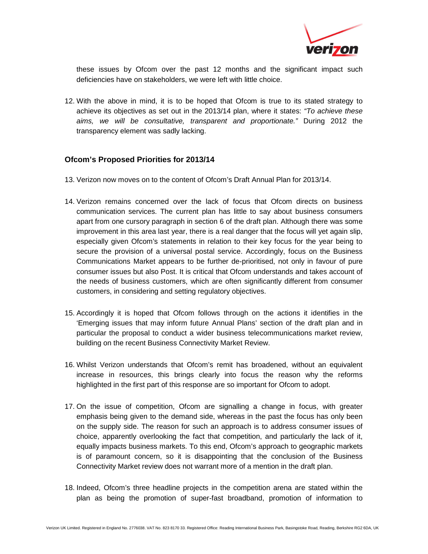

these issues by Ofcom over the past 12 months and the significant impact such deficiencies have on stakeholders, we were left with little choice.

12. With the above in mind, it is to be hoped that Ofcom is true to its stated strategy to achieve its objectives as set out in the 2013/14 plan, where it states: "To achieve these aims, we will be consultative, transparent and proportionate." During 2012 the transparency element was sadly lacking.

## **Ofcom's Proposed Priorities for 2013/14**

- 13. Verizon now moves on to the content of Ofcom's Draft Annual Plan for 2013/14.
- 14. Verizon remains concerned over the lack of focus that Ofcom directs on business communication services. The current plan has little to say about business consumers apart from one cursory paragraph in section 6 of the draft plan. Although there was some improvement in this area last year, there is a real danger that the focus will yet again slip, especially given Ofcom's statements in relation to their key focus for the year being to secure the provision of a universal postal service. Accordingly, focus on the Business Communications Market appears to be further de-prioritised, not only in favour of pure consumer issues but also Post. It is critical that Ofcom understands and takes account of the needs of business customers, which are often significantly different from consumer customers, in considering and setting regulatory objectives.
- 15. Accordingly it is hoped that Ofcom follows through on the actions it identifies in the 'Emerging issues that may inform future Annual Plans' section of the draft plan and in particular the proposal to conduct a wider business telecommunications market review, building on the recent Business Connectivity Market Review.
- 16. Whilst Verizon understands that Ofcom's remit has broadened, without an equivalent increase in resources, this brings clearly into focus the reason why the reforms highlighted in the first part of this response are so important for Ofcom to adopt.
- 17. On the issue of competition, Ofcom are signalling a change in focus, with greater emphasis being given to the demand side, whereas in the past the focus has only been on the supply side. The reason for such an approach is to address consumer issues of choice, apparently overlooking the fact that competition, and particularly the lack of it, equally impacts business markets. To this end, Ofcom's approach to geographic markets is of paramount concern, so it is disappointing that the conclusion of the Business Connectivity Market review does not warrant more of a mention in the draft plan.
- 18. Indeed, Ofcom's three headline projects in the competition arena are stated within the plan as being the promotion of super-fast broadband, promotion of information to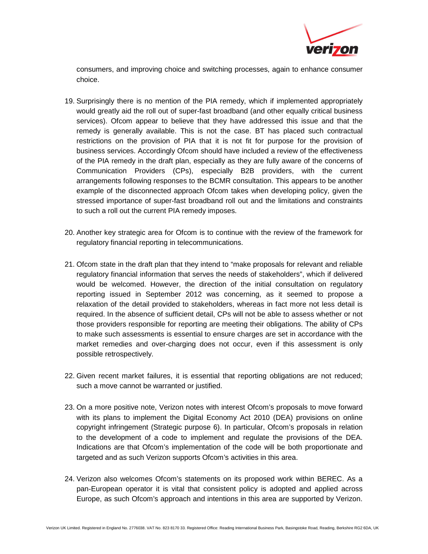

consumers, and improving choice and switching processes, again to enhance consumer choice.

- 19. Surprisingly there is no mention of the PIA remedy, which if implemented appropriately would greatly aid the roll out of super-fast broadband (and other equally critical business services). Ofcom appear to believe that they have addressed this issue and that the remedy is generally available. This is not the case. BT has placed such contractual restrictions on the provision of PIA that it is not fit for purpose for the provision of business services. Accordingly Ofcom should have included a review of the effectiveness of the PIA remedy in the draft plan, especially as they are fully aware of the concerns of Communication Providers (CPs), especially B2B providers, with the current arrangements following responses to the BCMR consultation. This appears to be another example of the disconnected approach Ofcom takes when developing policy, given the stressed importance of super-fast broadband roll out and the limitations and constraints to such a roll out the current PIA remedy imposes.
- 20. Another key strategic area for Ofcom is to continue with the review of the framework for regulatory financial reporting in telecommunications.
- 21. Ofcom state in the draft plan that they intend to "make proposals for relevant and reliable regulatory financial information that serves the needs of stakeholders", which if delivered would be welcomed. However, the direction of the initial consultation on regulatory reporting issued in September 2012 was concerning, as it seemed to propose a relaxation of the detail provided to stakeholders, whereas in fact more not less detail is required. In the absence of sufficient detail, CPs will not be able to assess whether or not those providers responsible for reporting are meeting their obligations. The ability of CPs to make such assessments is essential to ensure charges are set in accordance with the market remedies and over-charging does not occur, even if this assessment is only possible retrospectively.
- 22. Given recent market failures, it is essential that reporting obligations are not reduced; such a move cannot be warranted or justified.
- 23. On a more positive note, Verizon notes with interest Ofcom's proposals to move forward with its plans to implement the Digital Economy Act 2010 (DEA) provisions on online copyright infringement (Strategic purpose 6). In particular, Ofcom's proposals in relation to the development of a code to implement and regulate the provisions of the DEA. Indications are that Ofcom's implementation of the code will be both proportionate and targeted and as such Verizon supports Ofcom's activities in this area.
- 24. Verizon also welcomes Ofcom's statements on its proposed work within BEREC. As a pan-European operator it is vital that consistent policy is adopted and applied across Europe, as such Ofcom's approach and intentions in this area are supported by Verizon.